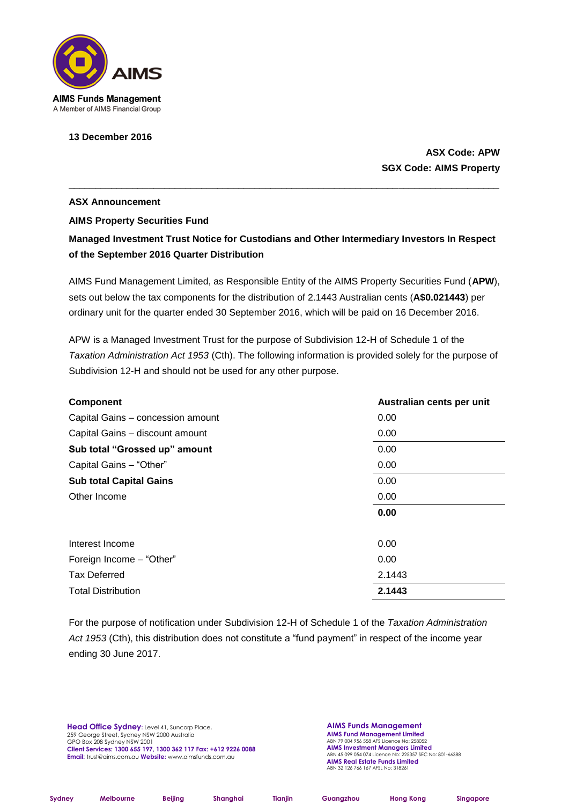

## **13 December 2016**

## **ASX Code: APW SGX Code: AIMS Property**

## **ASX Announcement AIMS Property Securities Fund**

## **Managed Investment Trust Notice for Custodians and Other Intermediary Investors In Respect of the September 2016 Quarter Distribution**

\_\_\_\_\_\_\_\_\_\_\_\_\_\_\_\_\_\_\_\_\_\_\_\_\_\_\_\_\_\_\_\_\_\_\_\_\_\_\_\_\_\_\_\_\_\_\_\_\_\_\_\_\_\_\_\_\_\_\_\_\_\_\_\_\_\_\_\_\_\_\_\_\_\_\_\_\_\_\_\_\_

AIMS Fund Management Limited, as Responsible Entity of the AIMS Property Securities Fund (**APW**), sets out below the tax components for the distribution of 2.1443 Australian cents (**A\$0.021443**) per ordinary unit for the quarter ended 30 September 2016, which will be paid on 16 December 2016.

APW is a Managed Investment Trust for the purpose of Subdivision 12-H of Schedule 1 of the *Taxation Administration Act 1953* (Cth). The following information is provided solely for the purpose of Subdivision 12-H and should not be used for any other purpose.

| Component                         | Australian cents per unit |
|-----------------------------------|---------------------------|
| Capital Gains - concession amount | 0.00                      |
| Capital Gains - discount amount   | 0.00                      |
| Sub total "Grossed up" amount     | 0.00                      |
| Capital Gains - "Other"           | 0.00                      |
| <b>Sub total Capital Gains</b>    | 0.00                      |
| Other Income                      | 0.00                      |
|                                   | 0.00                      |
| Interest Income                   | 0.00                      |
| Foreign Income - "Other"          | 0.00                      |
| <b>Tax Deferred</b>               | 2.1443                    |
| <b>Total Distribution</b>         | 2.1443                    |

For the purpose of notification under Subdivision 12-H of Schedule 1 of the *Taxation Administration Act 1953* (Cth), this distribution does not constitute a "fund payment" in respect of the income year ending 30 June 2017.

**Head Office Sydney:** Level 41, Suncorp Place, 259 George Street, Sydney NSW 2000 Australia GPO Box 208 Sydney NSW 2001 **Client Services: 1300 655 197, 1300 362 117 Fax: +612 9226 0088 Email:** trust@aims.com.au **Website:** www.aimsfunds.com.au

**AIMS Funds Management AIMS Fund Management Limited** ABN 79 004 956 558 AFS Licence No: 258052 **AIMS Investment Managers Limited** ABN 45 099 054 074 Licence No: 225357 SEC No: 801-66388 **AIMS Real Estate Funds Limited** ABN 32 126 766 167 AFSL No: 318261

**Sydney Melbourne Beijing Shanghai Tianjin Guangzhou Hong Kong Singapore**